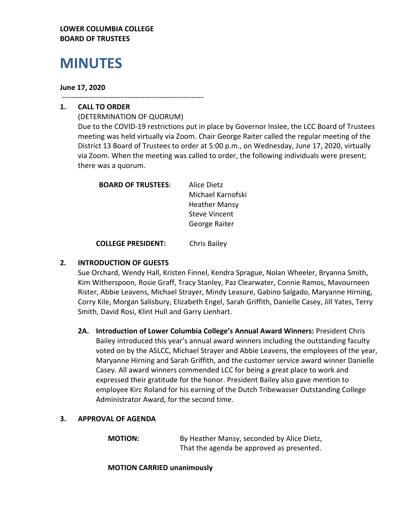### **LOWER COLUMBIA COLLEGE BOARD OF TRUSTEES**

# **MINUTES**

#### **June 17, 2020**

**----------------------------------------------------------**

## **1. CALL TO ORDER**

(DETERMINATION OF QUORUM) Due to the COVID-19 restrictions put in place by Governor Inslee, the LCC Board of Trustees meeting was held virtually via Zoom. Chair George Raiter called the regular meeting of the District 13 Board of Trustees to order at 5:00 p.m., on Wednesday, June 17, 2020, virtually via Zoom. When the meeting was called to order, the following individuals were present; there was a quorum.

| <b>BOARD OF TRUSTEES:</b> | Alice Dietz          |
|---------------------------|----------------------|
|                           | Michael Karnofski    |
|                           | <b>Heather Mansy</b> |
|                           | <b>Steve Vincent</b> |
|                           | George Raiter        |
|                           |                      |

**COLLEGE PRESIDENT:** Chris Bailey

## **2. INTRODUCTION OF GUESTS**

Sue Orchard, Wendy Hall, Kristen Finnel, Kendra Sprague, Nolan Wheeler, Bryanna Smith, Kim Witherspoon, Rosie Graff, Tracy Stanley, Paz Clearwater, Connie Ramos, Mavourneen Rister, Abbie Leavens, Michael Strayer, Mindy Leasure, Gabino Salgado, Maryanne Hirning, Corry Kile, Morgan Salisbury, Elizabeth Engel, Sarah Griffith, Danielle Casey, Jill Yates, Terry Smith, David Rosi, Klint Hull and Garry Lienhart.

**2A. Introduction of Lower Columbia College's Annual Award Winners:** President Chris Bailey introduced this year's annual award winners including the outstanding faculty voted on by the ASLCC, Michael Strayer and Abbie Leavens, the employees of the year, Maryanne Hirning and Sarah Griffith, and the customer service award winner Danielle Casey. All award winners commended LCC for being a great place to work and expressed their gratitude for the honor. President Bailey also gave mention to employee Kirc Roland for his earning of the Dutch Tribewasser Outstanding College Administrator Award, for the second time.

## **3. APPROVAL OF AGENDA**

**MOTION:** By Heather Mansy, seconded by Alice Dietz, That the agenda be approved as presented.

**MOTION CARRIED unanimously**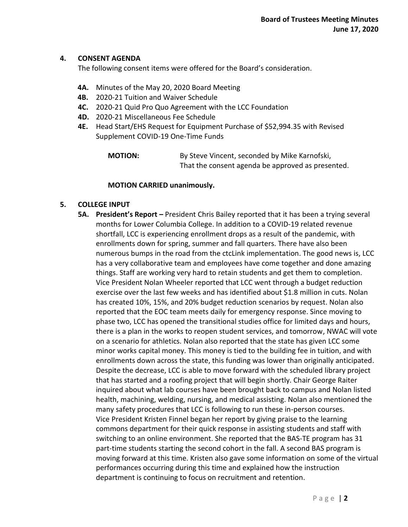#### **4. CONSENT AGENDA**

The following consent items were offered for the Board's consideration.

- **4A.** Minutes of the May 20, 2020 Board Meeting
- **4B.** 2020-21 Tuition and Waiver Schedule
- **4C.** 2020-21 Quid Pro Quo Agreement with the LCC Foundation
- **4D.** 2020-21 Miscellaneous Fee Schedule
- **4E.** Head Start/EHS Request for Equipment Purchase of \$52,994.35 with Revised Supplement COVID-19 One-Time Funds

**MOTION:** By Steve Vincent, seconded by Mike Karnofski, That the consent agenda be approved as presented.

#### **MOTION CARRIED unanimously.**

#### **5. COLLEGE INPUT**

**5A. President's Report –** President Chris Bailey reported that it has been a trying several months for Lower Columbia College. In addition to a COVID-19 related revenue shortfall, LCC is experiencing enrollment drops as a result of the pandemic, with enrollments down for spring, summer and fall quarters. There have also been numerous bumps in the road from the ctcLink implementation. The good news is, LCC has a very collaborative team and employees have come together and done amazing things. Staff are working very hard to retain students and get them to completion. Vice President Nolan Wheeler reported that LCC went through a budget reduction exercise over the last few weeks and has identified about \$1.8 million in cuts. Nolan has created 10%, 15%, and 20% budget reduction scenarios by request. Nolan also reported that the EOC team meets daily for emergency response. Since moving to phase two, LCC has opened the transitional studies office for limited days and hours, there is a plan in the works to reopen student services, and tomorrow, NWAC will vote on a scenario for athletics. Nolan also reported that the state has given LCC some minor works capital money. This money is tied to the building fee in tuition, and with enrollments down across the state, this funding was lower than originally anticipated. Despite the decrease, LCC is able to move forward with the scheduled library project that has started and a roofing project that will begin shortly. Chair George Raiter inquired about what lab courses have been brought back to campus and Nolan listed health, machining, welding, nursing, and medical assisting. Nolan also mentioned the many safety procedures that LCC is following to run these in-person courses. Vice President Kristen Finnel began her report by giving praise to the learning commons department for their quick response in assisting students and staff with switching to an online environment. She reported that the BAS-TE program has 31 part-time students starting the second cohort in the fall. A second BAS program is moving forward at this time. Kristen also gave some information on some of the virtual performances occurring during this time and explained how the instruction department is continuing to focus on recruitment and retention.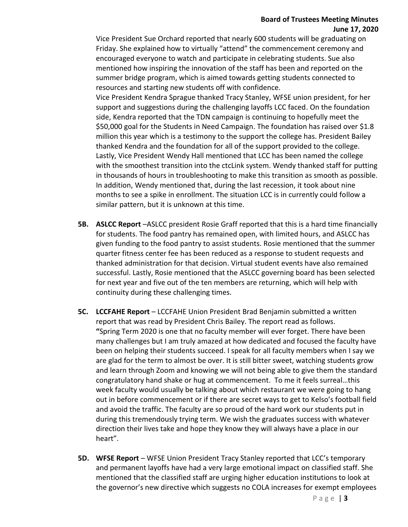## **Board of Trustees Meeting Minutes June 17, 2020**

Vice President Sue Orchard reported that nearly 600 students will be graduating on Friday. She explained how to virtually "attend" the commencement ceremony and encouraged everyone to watch and participate in celebrating students. Sue also mentioned how inspiring the innovation of the staff has been and reported on the summer bridge program, which is aimed towards getting students connected to resources and starting new students off with confidence.

Vice President Kendra Sprague thanked Tracy Stanley, WFSE union president, for her support and suggestions during the challenging layoffs LCC faced. On the foundation side, Kendra reported that the TDN campaign is continuing to hopefully meet the \$50,000 goal for the Students in Need Campaign. The foundation has raised over \$1.8 million this year which is a testimony to the support the college has. President Bailey thanked Kendra and the foundation for all of the support provided to the college. Lastly, Vice President Wendy Hall mentioned that LCC has been named the college with the smoothest transition into the ctcLink system. Wendy thanked staff for putting in thousands of hours in troubleshooting to make this transition as smooth as possible. In addition, Wendy mentioned that, during the last recession, it took about nine months to see a spike in enrollment. The situation LCC is in currently could follow a similar pattern, but it is unknown at this time.

- **5B. ASLCC Report** –ASLCC president Rosie Graff reported that this is a hard time financially for students. The food pantry has remained open, with limited hours, and ASLCC has given funding to the food pantry to assist students. Rosie mentioned that the summer quarter fitness center fee has been reduced as a response to student requests and thanked administration for that decision. Virtual student events have also remained successful. Lastly, Rosie mentioned that the ASLCC governing board has been selected for next year and five out of the ten members are returning, which will help with continuity during these challenging times.
- **5C. LCCFAHE Report** LCCFAHE Union President Brad Benjamin submitted a written report that was read by President Chris Bailey. The report read as follows. **"**Spring Term 2020 is one that no faculty member will ever forget. There have been many challenges but I am truly amazed at how dedicated and focused the faculty have been on helping their students succeed. I speak for all faculty members when I say we are glad for the term to almost be over. It is still bitter sweet, watching students grow and learn through Zoom and knowing we will not being able to give them the standard congratulatory hand shake or hug at commencement. To me it feels surreal…this week faculty would usually be talking about which restaurant we were going to hang out in before commencement or if there are secret ways to get to Kelso's football field and avoid the traffic. The faculty are so proud of the hard work our students put in during this tremendously trying term. We wish the graduates success with whatever direction their lives take and hope they know they will always have a place in our heart".
- **5D. WFSE Report** WFSE Union President Tracy Stanley reported that LCC's temporary and permanent layoffs have had a very large emotional impact on classified staff. She mentioned that the classified staff are urging higher education institutions to look at the governor's new directive which suggests no COLA increases for exempt employees